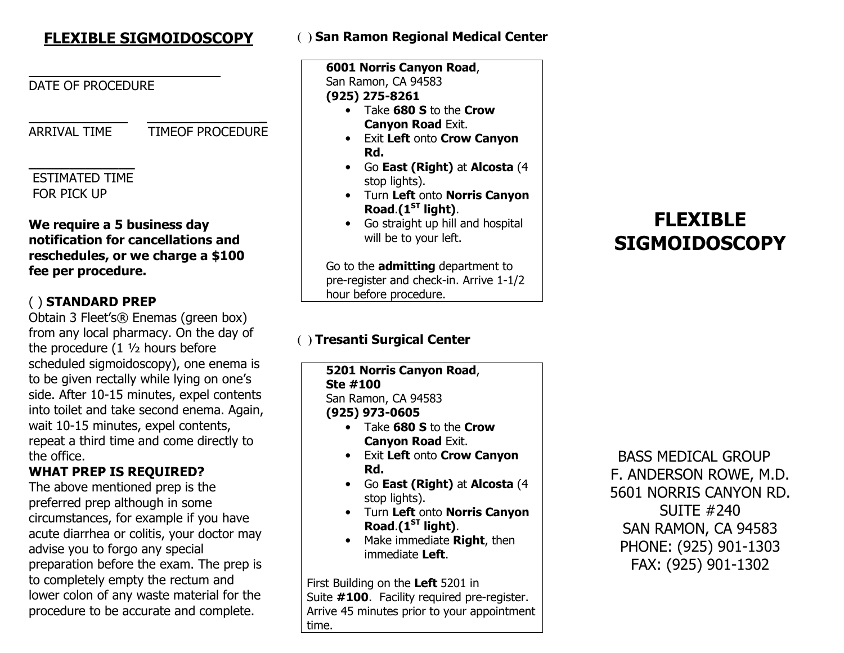# FLEXIBLE SIGMOIDOSCOPY

### DATE OF PROCEDURE

 \_ ARRIVAL TIME TIMEOF PROCEDURE

#### \_\_\_\_\_\_\_\_\_\_\_\_\_ ESTIMATED TIME FOR PICK UP

### We require a 5 business day notification for cancellations and reschedules, or we charge a \$100 fee per procedure.

# ( ) STANDARD PREP

 Obtain 3 Fleet's® Enemas (green box) from any local pharmacy. On the day of the procedure (1 ½ hours before scheduled sigmoidoscopy), one enema is to be given rectally while lying on one's side. After 10-15 minutes, expel contents into toilet and take second enema. Again, wait 10-15 minutes, expel contents, repeat a third time and come directly to the office.

### WHAT PREP IS REQUIRED?

 The above mentioned prep is the preferred prep although in some circumstances, for example if you have acute diarrhea or colitis, your doctor may advise you to forgo any special preparation before the exam. The prep is to completely empty the rectum and lower colon of any waste material for the procedure to be accurate and complete.

### **( )** San Ramon Regional Medical Center

6001 Norris Canyon Road, San Ramon, CA 94583 (925) 275-8261

- Take 680 S to the Crow Canyon Road Exit.
- Exit Left onto Crow Canyon Rd.
- Go East (Right) at Alcosta (4 stop lights).
- Turn Left onto Norris Canyon Road. $(1<sup>ST</sup>$  light).
- Go straight up hill and hospital will be to your left.

Go to the **admitting** department to pre-register and check-in. Arrive 1-1/2 hour before procedure.

# **( )** Tresanti Surgical Center

5201 Norris Canyon Road, Ste #100 San Ramon, CA 94583 (925) 973-0605• Take 680 S to the Crow Canyon Road Exit. • Exit Left onto Crow Canyon Rd.

- Go East (Right) at Alcosta (4 stop lights).
- Turn Left onto Norris Canyon Road. $(1<sup>ST</sup>$  light).
- Make immediate **Right**, then immediate Left.

First Building on the Left 5201 in Suite #100. Facility required pre-register. Arrive 45 minutes prior to your appointment time.

# FLEXIBLE SIGMOIDOSCOPY

 BASS MEDICAL GROUP F. ANDERSON ROWE, M.D. 5601 NORRIS CANYON RD. SUITE #240 SAN RAMON, CA 94583 PHONE: (925) 901-1303 FAX: (925) 901-1302